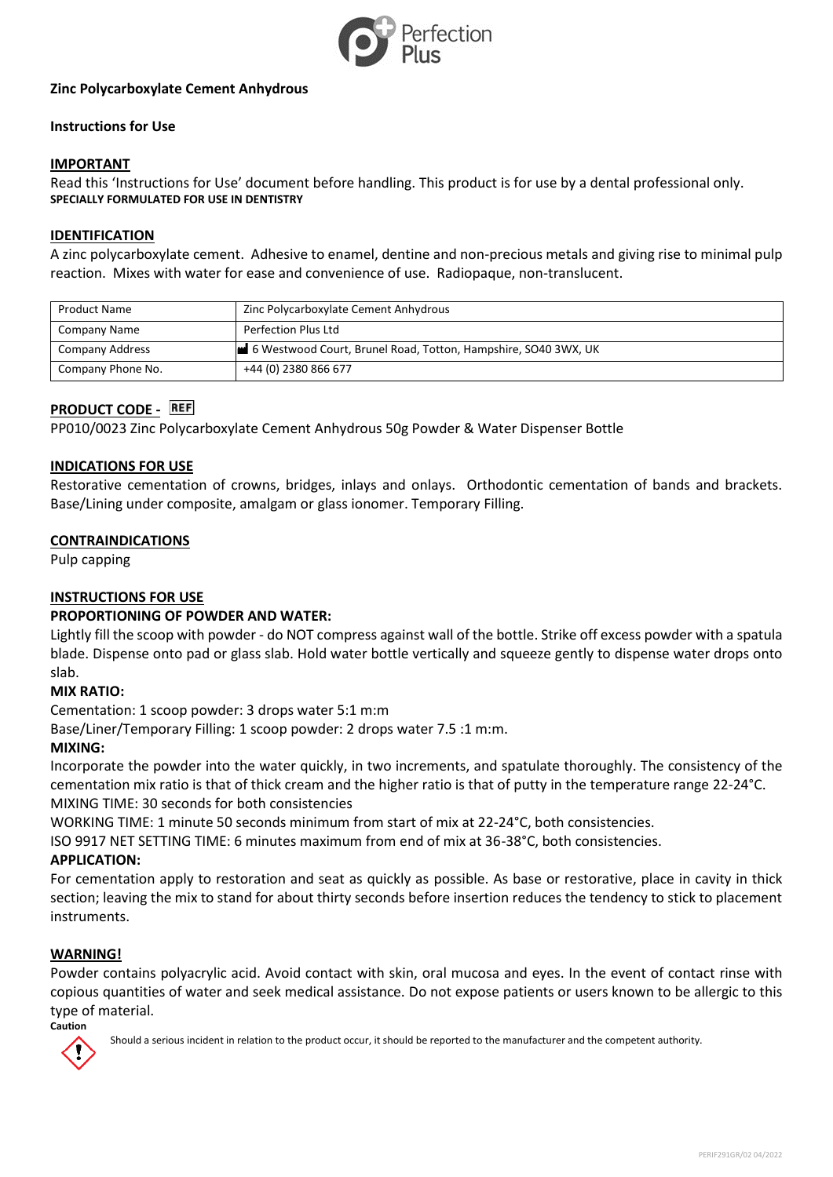

# **Zinc Polycarboxylate Cement Anhydrous**

# **Instructions for Use**

## **IMPORTANT**

Read this 'Instructions for Use' document before handling. This product is for use by a dental professional only. **SPECIALLY FORMULATED FOR USE IN DENTISTRY**

#### **IDENTIFICATION**

A zinc polycarboxylate cement. Adhesive to enamel, dentine and non-precious metals and giving rise to minimal pulp reaction. Mixes with water for ease and convenience of use. Radiopaque, non-translucent.

| <b>Product Name</b>    | Zinc Polycarboxylate Cement Anhydrous                          |
|------------------------|----------------------------------------------------------------|
| Company Name           | Perfection Plus Ltd                                            |
| <b>Company Address</b> | 6 Westwood Court, Brunel Road, Totton, Hampshire, SO40 3WX, UK |
| Company Phone No.      | +44 (0) 2380 866 677                                           |

# **PRODUCT CODE -** REF

PP010/0023 Zinc Polycarboxylate Cement Anhydrous 50g Powder & Water Dispenser Bottle

## **INDICATIONS FOR USE**

Restorative cementation of crowns, bridges, inlays and onlays. Orthodontic cementation of bands and brackets. Base/Lining under composite, amalgam or glass ionomer. Temporary Filling.

#### **CONTRAINDICATIONS**

Pulp capping

# **INSTRUCTIONS FOR USE**

#### **PROPORTIONING OF POWDER AND WATER:**

Lightly fill the scoop with powder - do NOT compress against wall of the bottle. Strike off excess powder with a spatula blade. Dispense onto pad or glass slab. Hold water bottle vertically and squeeze gently to dispense water drops onto slab.

#### **MIX RATIO:**

Cementation: 1 scoop powder: 3 drops water 5:1 m:m

Base/Liner/Temporary Filling: 1 scoop powder: 2 drops water 7.5 :1 m:m.

#### **MIXING:**

Incorporate the powder into the water quickly, in two increments, and spatulate thoroughly. The consistency of the cementation mix ratio is that of thick cream and the higher ratio is that of putty in the temperature range 22-24°C. MIXING TIME: 30 seconds for both consistencies

WORKING TIME: 1 minute 50 seconds minimum from start of mix at 22-24°C, both consistencies.

ISO 9917 NET SETTING TIME: 6 minutes maximum from end of mix at 36-38°C, both consistencies.

#### **APPLICATION:**

For cementation apply to restoration and seat as quickly as possible. As base or restorative, place in cavity in thick section; leaving the mix to stand for about thirty seconds before insertion reduces the tendency to stick to placement instruments.

#### **WARNING!**

Powder contains polyacrylic acid. Avoid contact with skin, oral mucosa and eyes. In the event of contact rinse with copious quantities of water and seek medical assistance. Do not expose patients or users known to be allergic to this type of material.



Should a serious incident in relation to the product occur, it should be reported to the manufacturer and the competent authority.